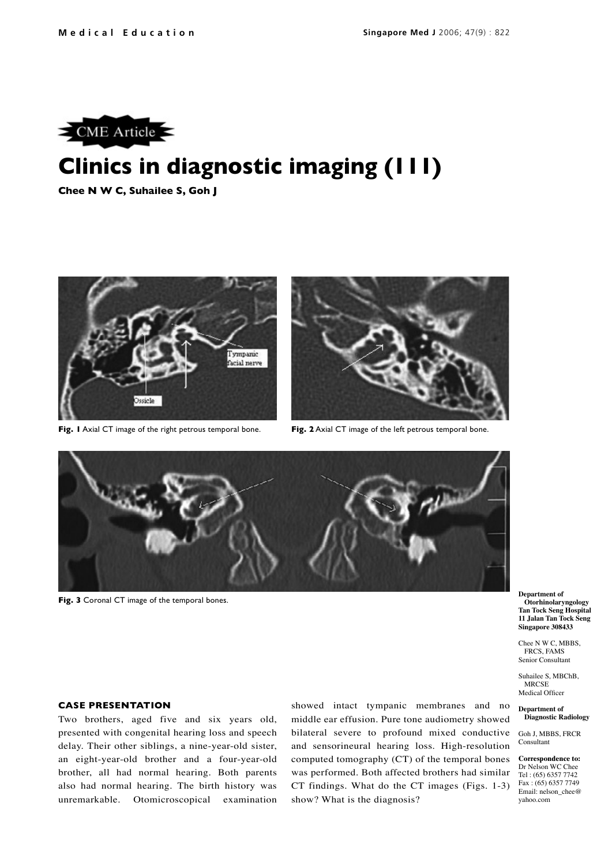

# **Clinics in diagnostic imaging (111)**

**Chee N W C, Suhailee S, Goh J**



**Fig. 1** Axial CT image of the right petrous temporal bone.



**Fig. 2** Axial CT image of the left petrous temporal bone.



**Fig. 3** Coronal CT image of the temporal bones.

## **CASE PRESENTATION**

Two brothers, aged five and six years old, presented with congenital hearing loss and speech delay. Their other siblings, a nine-year-old sister, an eight-year-old brother and a four-year-old brother, all had normal hearing. Both parents also had normal hearing. The birth history was unremarkable. Otomicroscopical examination showed intact tympanic membranes and no middle ear effusion. Pure tone audiometry showed bilateral severe to profound mixed conductive and sensorineural hearing loss. High-resolution computed tomography (CT) of the temporal bones was performed. Both affected brothers had similar CT findings. What do the CT images (Figs. 1-3) show? What is the diagnosis?

**Department of Otorhinolaryngology Tan Tock Seng Hospital 11 Jalan Tan Tock Seng Singapore 308433**

Chee N W C, MBBS, FRCS, FAMS Senior Consultant

Suhailee S, MBChB, MRCSE Medical Officer

**Department of Diagnostic Radiology**

Goh J, MBBS, FRCR Consultant

**Correspondence to:** Dr Nelson WC Chee Tel : (65) 6357 7742 Fax : (65) 6357 7749 Email: nelson\_chee@ yahoo.com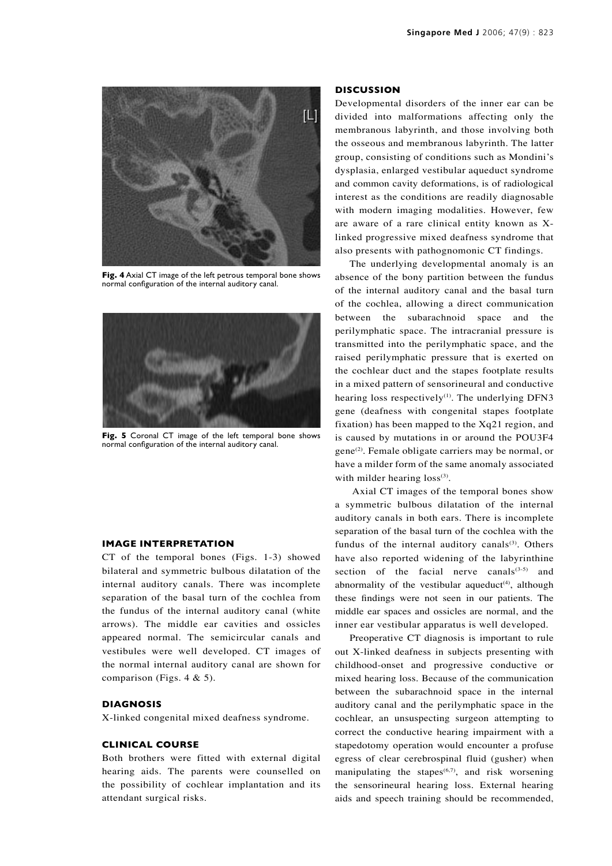

**Fig. 4** Axial CT image of the left petrous temporal bone shows normal configuration of the internal auditory canal.



**Fig. 5** Coronal CT image of the left temporal bone shows normal configuration of the internal auditory canal.

#### **IMAGE INTERPRETATION**

CT of the temporal bones (Figs. 1-3) showed bilateral and symmetric bulbous dilatation of the internal auditory canals. There was incomplete separation of the basal turn of the cochlea from the fundus of the internal auditory canal (white arrows). The middle ear cavities and ossicles appeared normal. The semicircular canals and vestibules were well developed. CT images of the normal internal auditory canal are shown for comparison (Figs. 4 & 5).

#### **DIAGNOSIS**

X-linked congenital mixed deafness syndrome.

#### **CLINICAL COURSE**

Both brothers were fitted with external digital hearing aids. The parents were counselled on the possibility of cochlear implantation and its attendant surgical risks.

#### **DISCUSSION**

Developmental disorders of the inner ear can be divided into malformations affecting only the membranous labyrinth, and those involving both the osseous and membranous labyrinth. The latter group, consisting of conditions such as Mondini's dysplasia, enlarged vestibular aqueduct syndrome and common cavity deformations, is of radiological interest as the conditions are readily diagnosable with modern imaging modalities. However, few are aware of a rare clinical entity known as Xlinked progressive mixed deafness syndrome that also presents with pathognomonic CT findings.

The underlying developmental anomaly is an absence of the bony partition between the fundus of the internal auditory canal and the basal turn of the cochlea, allowing a direct communication between the subarachnoid space and the perilymphatic space. The intracranial pressure is transmitted into the perilymphatic space, and the raised perilymphatic pressure that is exerted on the cochlear duct and the stapes footplate results in a mixed pattern of sensorineural and conductive hearing loss respectively<sup>(1)</sup>. The underlying DFN3 gene (deafness with congenital stapes footplate fixation) has been mapped to the Xq21 region, and is caused by mutations in or around the POU3F4 gene(2). Female obligate carriers may be normal, or have a milder form of the same anomaly associated with milder hearing loss<sup>(3)</sup>.

 Axial CT images of the temporal bones show a symmetric bulbous dilatation of the internal auditory canals in both ears. There is incomplete separation of the basal turn of the cochlea with the fundus of the internal auditory canals<sup>(3)</sup>. Others have also reported widening of the labyrinthine section of the facial nerve canals<sup> $(3-5)$ </sup> and abnormality of the vestibular aqueduct<sup>(4)</sup>, although these findings were not seen in our patients. The middle ear spaces and ossicles are normal, and the inner ear vestibular apparatus is well developed.

Preoperative CT diagnosis is important to rule out X-linked deafness in subjects presenting with childhood-onset and progressive conductive or mixed hearing loss. Because of the communication between the subarachnoid space in the internal auditory canal and the perilymphatic space in the cochlear, an unsuspecting surgeon attempting to correct the conductive hearing impairment with a stapedotomy operation would encounter a profuse egress of clear cerebrospinal fluid (gusher) when manipulating the stapes<sup> $(6,7)$ </sup>, and risk worsening the sensorineural hearing loss. External hearing aids and speech training should be recommended,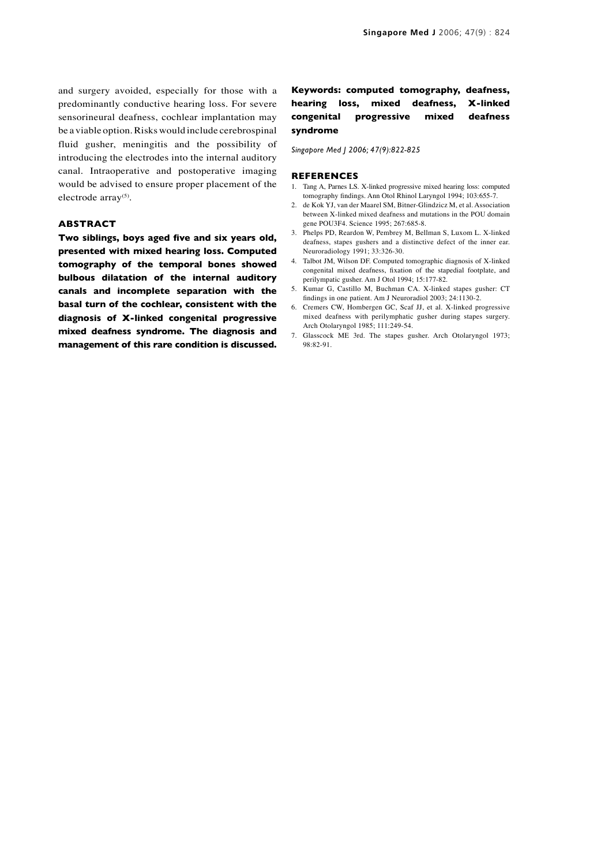and surgery avoided, especially for those with a predominantly conductive hearing loss. For severe sensorineural deafness, cochlear implantation may be a viable option. Risks would include cerebrospinal fluid gusher, meningitis and the possibility of introducing the electrodes into the internal auditory canal. Intraoperative and postoperative imaging would be advised to ensure proper placement of the electrode array<sup>(5)</sup>.

### **ABSTRACT**

**Two siblings, boys aged five and six years old, presented with mixed hearing loss. Computed tomography of the temporal bones showed bulbous dilatation of the internal auditory canals and incomplete separation with the basal turn of the cochlear, consistent with the diagnosis of X-linked congenital progressive mixed deafness syndrome. The diagnosis and management of this rare condition is discussed.**

## **Keywords: computed tomography, deafness, hearing loss, mixed deafness, X-linked congenital progressive mixed deafness syndrome**

*Singapore Med J 2006; 47(9):822-825*

#### **REFERENCES**

- 1. Tang A, Parnes LS. X-linked progressive mixed hearing loss: computed tomography findings. Ann Otol Rhinol Laryngol 1994; 103:655-7.
- 2. de Kok YJ, van der Maarel SM, Bitner-Glindzicz M, et al. Association between X-linked mixed deafness and mutations in the POU domain gene POU3F4. Science 1995; 267:685-8.
- 3. Phelps PD, Reardon W, Pembrey M, Bellman S, Luxom L. X-linked deafness, stapes gushers and a distinctive defect of the inner ear. Neuroradiology 1991; 33:326-30.
- 4. Talbot JM, Wilson DF. Computed tomographic diagnosis of X-linked congenital mixed deafness, fixation of the stapedial footplate, and perilympatic gusher. Am J Otol 1994; 15:177-82.
- 5. Kumar G, Castillo M, Buchman CA. X-linked stapes gusher: CT findings in one patient. Am J Neuroradiol 2003; 24:1130-2.
- 6. Cremers CW, Hombergen GC, Scaf JJ, et al. X-linked progressive mixed deafness with perilymphatic gusher during stapes surgery. Arch Otolaryngol 1985; 111:249-54.
- 7. Glasscock ME 3rd. The stapes gusher. Arch Otolaryngol 1973; 98:82-91.